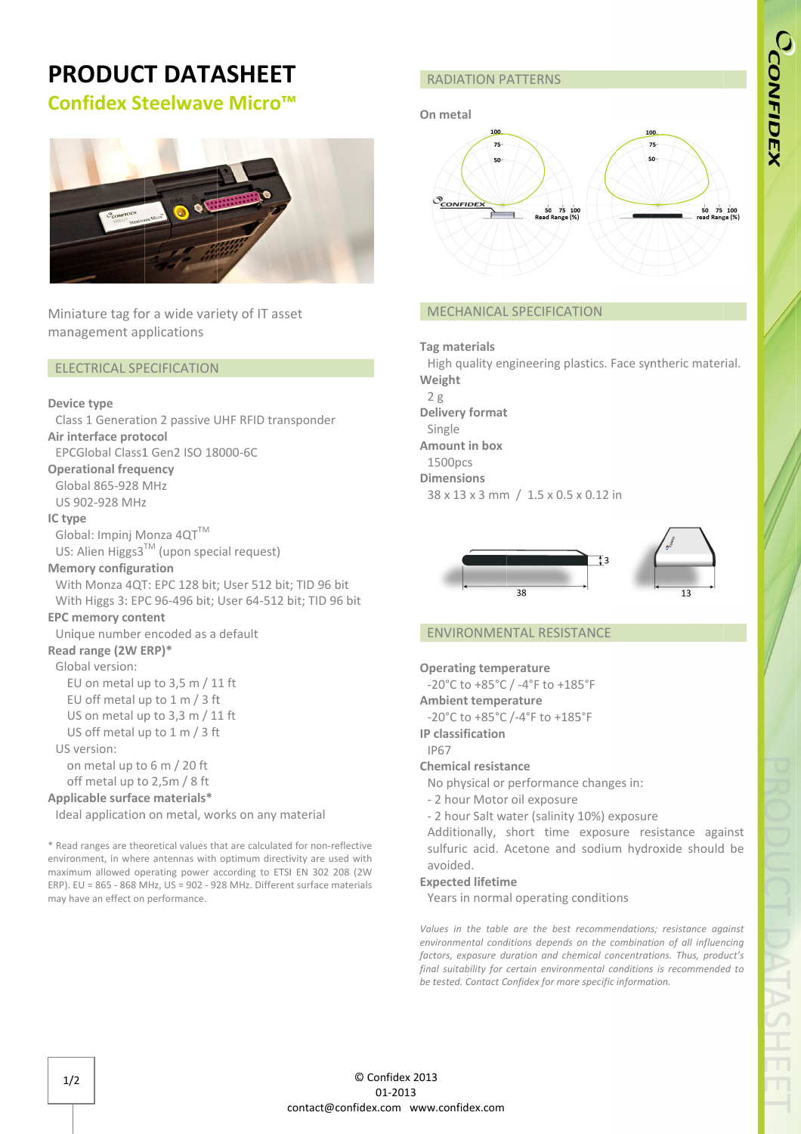# PRODUCT DATASHEET

## Confidex Steelwave Micro™



Miniature tag for a wide variety of IT asset management applications

#### ELECTRICAL SPECIFICATION

#### Device type type

Class 1 Generation 2 passive UHF RFID transponder Air interface protocol EPCGlobal Class1 Gen2 ISO 18000 18000-6C Operational frequency Global 865-928 MHz US 902-928 MHz IC type Global: Impinj Monza  $4QT^{TM}$ US: Alien Higgs3™ (upon special request) Memory configuration With Monza 4QT: EPC 128 bit; User 512 bit; TID 96 bit With Monza 4QT: EPC 128 bit; User 512 bit; TID 96 bit<br>With Higgs 3: EPC 96-496 bit; User 64-512 bit; TID 96 bit EPC memory content Unique number encoded as a default Read range (2W ERP)\* Global version: EU on metal up to  $3,5$  m / 11 ft EU off metal up to 1 m / 3 ft US on metal up to 3,3 m / 11 ft US off metal up to 1 m / 3 ft US version: on metal up to 6 m / 20 ft off metal up to 2,5m / 8 ft Applicable surface materials\* Ideal application on metal, works on any material

\* Read ranges are theoretical values that are calculated for non-reflective environment, in where antennas with optimum directivity are used with maximum allowed operating power according to ETSI EN 302 208 (2W ERP). EU = 865 - 868 MHz, US = 902 - 928 MHz MHz. Different surface materials may have an effect on performance.

### On metal



#### MECHANICAL SPECIFICATION

#### Tag materials

RADIATION PATTERNS<br>
On metal<br>  $\frac{1}{n}$ <br>  $\frac{1}{n}$ <br>  $\frac{1}{n}$ <br>  $\frac{1}{n}$ <br>  $\frac{1}{n}$ <br>  $\frac{1}{n}$ <br>  $\frac{1}{n}$ <br>  $\frac{1}{n}$ <br>  $\frac{1}{n}$ <br>  $\frac{1}{n}$ <br>  $\frac{1}{n}$ <br>  $\frac{1}{n}$ <br>  $\frac{1}{n}$ <br>  $\frac{1}{n}$ <br>  $\frac{1}{n}$ <br>  $\frac{1}{n}$ <br>  $\frac{1}{n}$ <br>  $\frac{$ High quality engineering plastics. Face syntheric material. Weight  $2g$ Delivery format Single Amount in box 1500pcs Dimensions 38 38 x 13 x 3 mm / 1.5 x 0.5 x 0.12 0.12 in High<br>**Veigh**<br>2 g Single<br>**mount ir**<br>1500pcs mgineering plastics. Face syntheric material.<br>
<br>
The material of the synthesis of the synthesis<br>
<br>
The synthesis of the synthesis<br>
<br>
Confidex for material confiders for methods of the synthesis<br>
<br>
Confidex for more specifi



#### ENVIRONMENTAL RESISTANCE

Operating temperature

-20°C to +85°C / -4°F to +185°F

Ambient temperature 20°C to +85°C / -4°F<br>**mbient temperature**<br>20°C to +85°C /-4°F t

-20°C to +85°C /-4°F to +185°F

IP classification IP67

#### Chemical resistance

No physical or performance changes in: IP67<br>**hemical resistance**<br>No physical or performance<br>- 2 hour Motor oil exposure

- 
- 2 hour Salt water (salinity 10%) exposure

Additionally, short time exposure resistance against<br>sulfuric acid. Acetone and sodium hydroxide should be<br>avoided.<br>Years in normal operating conditions sulfuric acid. Acetone and sodium hydroxide should be avoided.

#### Expected lifetime

Years in normal operating conditions

Values in the table are the best recommendations; resistance against environmental conditions depends on the combination of all influencing factors, exposure duration and chemical concentrations. Thus, product's final suitability for certain environmental condition s be tested. Contact Confidex for more specific information. are the best recommendations; resistance against<br>tions depends on the combination of all influencing<br>ation and chemical concentrations. Thus, product's<br>ertain environmental conditions is recommended to